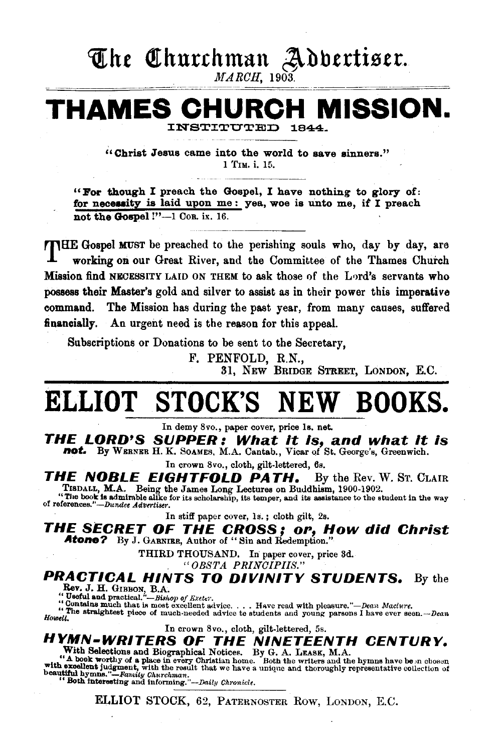# The Churchman Adbertiser.

 $MARCH$ , 1903.

# **THAMES CHURCH MISSION.**

INSTITUTED

''Christ Jesus came into the world to save sinners." 1 TIM. i. 15.

"For though I preach the Gospel, I have nothing to glory of: for necessity is laid upon me: yea, woe is unto me, if  $I$  preach not the Gospel !"-1 Cor. ix. 16.

THE Gospel MUST be preached to the perishing souls who, day by day, are working on our Great River, and the Committee of the Thames Church Mission find NECESSITY LAID ON THEM to ask those of the Lord's servants who possess their Master's gold and silver to assist as in their power this imperative command. The Mission has during the past year, from many causes, suffered financially. An urgent need is the reason for this appeal.

Subscriptions or Donations to be sent to the Secretary,

F. PENFOLD, R.N.,

31, NEW BRIDGE STREET, LONDON, E.C.

# **ELLIOT STOCK'S NEW BOOKS.**

In demy 8vo., paper cover, price ls. net.

**THE LORD'S SUPPER: What It Is, and what It is not.** By WERNEB H. K. SOAMES, M.A. Cantab., Vicar of St. George's, Greenwich.

In crown 8vo., cloth, gilt-lettered, 6s.

**THE NOBLE EIGHTFOLD PATH.** By the Rev. W. ST. CLAIR

TISDALL, M.A. Being the James Long Lectures on Buddhism, 1900-1902.<br>
"The book is admirable alike for its scholarship, its temper, and its assistance to the student in the way<br>
of references."-Dundee Advertiser.

In stiff paper cover, 18. ; cloth gilt, 2s.

**THE SECRET OF THE CROSS; or, How did Christ**  Atone? By J. GARNIER, Author of "Sin and Redemption."

THIRD THOUSAND. In paper cover, price 3d.

. *"OBSTA PRINCIPIIS."* 

# **PRACTICAL HINTS TO DIVINITY STUDENTS.** By the Rev. J. H. GIBBON, B.A.<br>"Useful and practical."-Bishop of Exeter.

"Contains much that is most excellent advice. . . . Have read with pleasure."-Dean Maclure.

"The straightest piece of much-needed advice to students and young parsons I have ever seen.--Dean<br>Howell.

In crown 8vo., cloth, gilt-lettered, 5s.

## **HYMN-WRITERS OF THE NINETEENTH CENTURY.**  With Selections and Biographical Notices. By G. A. LEASK, M.A. "A book worthy of a place in every Christian home. Both the writers and the hymns have be .n chosen

with excellent judgment, with the result that we have a unique and thoroughly representative collection of beautiful bymns,"-Fanniy *Churchman.* "Both Interesting and informing."--Daily *Chronicle.* "Both Interesting and i

ELLIOT STOCK, 62, PATERNOSTER Row, LoNDON, E.C.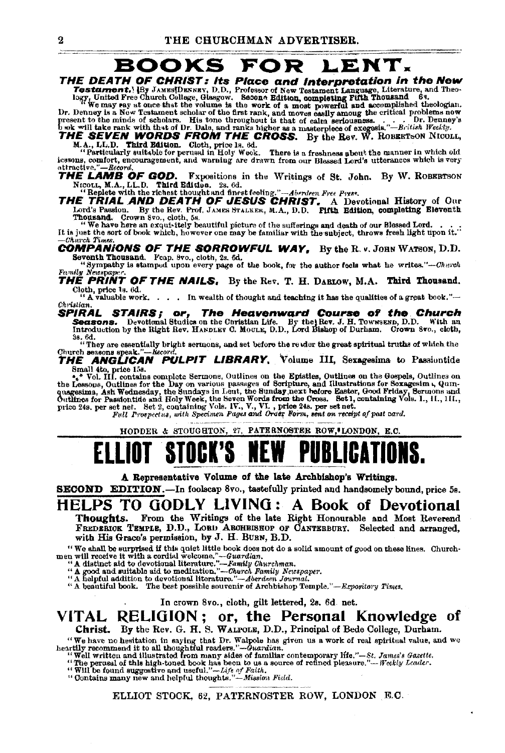# **BOOKS FOR LENT.**

THE DEATH OF CHRIST: Its Place and Interpretation in the New

**THE DEATH OF CHRIST:** Its Place and Interpretation in the New restament. HBy JAMESDEXERY, D.D. Professor of New Testament Language, Literature, and Theory, United Free Church College, Glasgow. Second Edition, completing

iessons, comfort, encouragement, and warning are drawn from our Blessed Lord's utterances which is very attractive."-Record,

THE LAMB OF GOD. Expositions in the Writings of St. John. By W. ROBERTSON NICOLL, M.A., LL.D. Third Edition. 2s. 6d.

NEOLLA MALLAU. That can say with the richest thought and finest feeling."-Aberdeen Free Press.<br>THE TRIAL AND DEATH OF JESUS CHRIST. A Devotional History of Our<br>Lord's Passion. By the Rev. Prof. JAMES STALKER, M.A., D.D. Fi Lord's Passion. By the new Live was made manner, -----, -----, -----<br>Thousand. Crown 8vo., cloth, 5s.<br>"We have here an exquiritely beautiful picture of the sufferings and death of our Blessed Lord.<br>"We have here an exquiri

It is just the sort of book which, however one may be familiar with the subject, throws fresh light upon it." Charch Times

**COMPANIONS OF THE SORROWFUL WAY, By the R. v. JOHN WATSON, D.D.** 

Seventh Thousand. Feap. 8vo., cloth, 2s. 6d.<br>
"Sympathy is stamped upon every page of the book, for the author feels what he writes."—Cherch Family Nesspaper.<br>THE PRINT OF THE NAILS. By the Rev. T. H. DABLOW. M.A. Third Thousand.

Cloth, price 1s. 6d.

"A valuable work.... In wealth of thought and teaching it has the qualities of a great book."-Christian.

**TRAL STAIRS; or, The Heavenward Course of the Church**<br>Seasons. Devotional Studies on the Christian Life. By the Rev. J. H. Townsexp, D.D. With an Introduction by the Right Rev. HARDLEY C. MOULE, D.D., Lord Bishop of Durha SPIRAL

as. 6d.<br>"They are essentially bright sermons, and set before the review the great spiritual truths of which the

Church esseons speak."—*hecord.*<br>THE ANGLICAN PULPIT LIBRARY, Volume III, Sexagesima to Passiontide

Small the price 18.<br>
When the U.S. Contains complete Sermons, Outlines on the Epistles, Outlines on the Gospels, Outlines on<br>
the Lessons, Outlines for the Day on various passages of Scriphure, and Illustrations for Scragg

Full Prospectus, with Specimen Pages and Order Form, sent on receipt of post card.

HODDER & STOUGHTON, 27, PATERNOSTER ROW, LONDON. E.C.

A Representative Volume of the late Archbishop's Writings.

SECOND EDITION.-In foolscap 8vo., tastefully printed and handsomely bound, price 5s.

### HELPS TO GODLY LIVING: A Book of Devotional

From the Writings of the late Right Honourable and Most Reverend Thourhts. FREDERICK TEMPLE, D.D., LORD ARCHBISHOP OF CARTERBURY. Selected and arranged, with His Grace's permission, by J. H. BURN, B.D.

We shall be surprised if this quiet little book does not a solid amount of good on these lines. Churchmen will receive it with a cordial welcome."—Guardian.<br>"A distinct aid to development".—Family Churchman.<br>"A distinct a

"A beautiful book. The best possible souvenir of Archbishop Temple."-Expository Times.

In crown 8vo., cloth, gilt lettered, 2s. 6d net.

#### VITAL RELIGION; or, the Personal Knowledge of Christ. By the Rev. G. H. S. WALFOLE, D.D., Principal of Bede College, Durham.

"We have no hesitation in saying that Dr. Walpole has given us a work of real spiritual value, and we<br>heartily recommend it to all thoughtful readers."—Guardian.<br>"Well written and illustrated from many sides of familiar co

" Well Written and runstrated trum many states on number concemposary inc. The perusal of this high-toned book has been to us a source of refined pleasure."—Weekly Leader.<br>"Will be found suggestive and useful."—Life of Fai

ELLIOT STOCK, 62, PATERNOSTER ROW, LONDON E.C.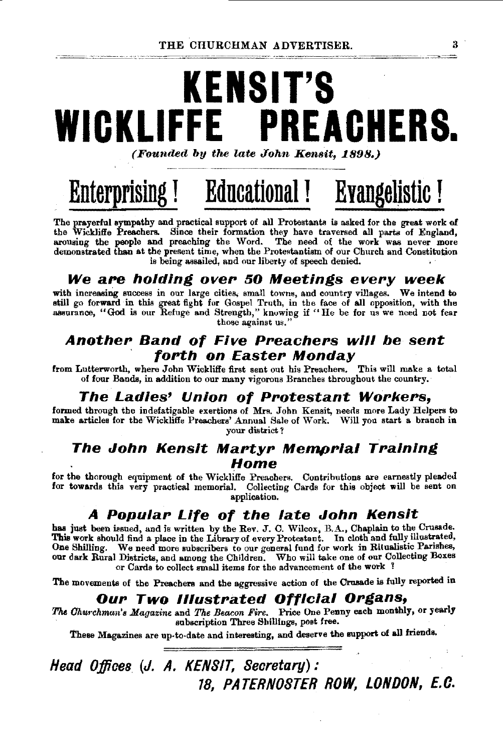# **KENS IT'S WICKLIFFE PREACHERS.**  (Founded by the late John Kensit, 1898.)

# **Enterprising** ! **Educational I Evangelistic** !

The prayerful sympathy and practical support of all Protestants is asked for the great work of the Wickliffe Preachers. Since their formation they have traversed all parts of England, arousing the people and preaching the Word. The need of the work was never more demonstrated than at the present time, when the Protestantism of our Church and Constitution is being assailed, and our liberty of speech denied.

### **We are holding oveP 50 Meetings evePy week**

with increasing success in our large cities, small towns, and country villages. We intend to still go forward in this great fight for Gospel Truth, in the face of all opposition, with the assurance, "God is our Refuge and Strength," knowing if "He be for us we need not fear those against us."

### **Another Band of Five Preachers will be sent** · **fonh on EasteP Monday**

from Lutterworth, where John Wickliffe first sent out his Preachers. This will make a total of four Bands, in addition to our many vigorous Branches throughout the country.

### **The Ladles' Union of PPotestant WoPkePs,**

formed through the indefatigable exertions of Mrs. John Kensit, needs more Lady Helpers to make articles for the Wickliffe Preachers' Annual Sale of Work. Will you start a branch in your district ?

### **The John Kensit Martyr Memprial Training Home**

for the thorough equipment of the Wickliffe Preachers. Contributions are earnestly pleaded for towards this very practical memorial. Collecting Cards for this object will be sent on application.

## **A PopulaP Life of the late John Kenslt**

has just been issued, and is written by the Rev. J. C. Wilcox, B.A., Chaplain to the Crusade. This work should find a place in the Library of every Protestant. In cloth and fully illustrated, One Shilling. We need more subscribers to our general fund for work in Ritualistic Parishes, our dark Rural Districts, and among the Children. Who will take one of our Collecting Boxes or Cards to collect small items for the advancement of the work !

The movements of the Preachers and the aggressive action of the Crusade is fully reported in

### **OuP Two lllustPated Official OPgans,**

The *Churchman's Magazine* and *The Beacon Fire.* Price One Penny each monthly, or yearly subacription Three Shillings, post free.

These Magazines are up-to-date and interesting, and deserve the support of all friends.

# **Head Offices. (J.** *A.* **KENSIT, Secretary): 18, PATERNOSTER ROW, LONDON, E.C.**

3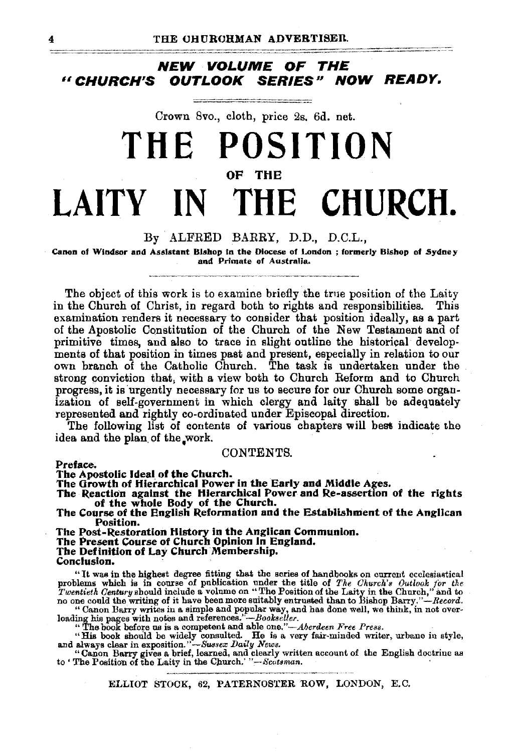### **NEW VOLUME OF THE**  *u* **CHURCH'S OUTLOOK SERIES" NOW READY.**

# Crown 8vo., cloth, price 2s. 6d. net. **THE POSITION**  OF THE **LAITY** IN **THE CHURCH.**

#### By . ALFRED BARRY, D.D., D.C.L.,

Canon of Windsor and Assistant Bishop in the Diocese of London ; formerly Bishop of Sydney and Primate of Australia.

The object of this work is to examine briefly the true position of the Laity in the Church of Christ, in regard both to rights and responsibilities. This examination renders it necessary to consider that position ideally, as a part of the Apostolic Constitution of the Church of the New Testament and of primitive times, and also to trace in slight outline the historical developmenta of that position in times past and present, especially in relation to our own branch of the Catholic Church. The task is undertaken under the strong conviction that, with a view both to Church Reform and to Church progress, it is urgently necessary for us to secure for our Church some organization of self-government in which clergy and laity shall be adequately represented and rightly co-ordinated under Episcopal direction.

The following list of contents of various chapters will best indicate the idea and the plan of the work.

#### CONTENTS.

Preface.

The Apostolic Ideal of the Church.<br>The Growth of Hierarchical Power in the Early and Middle Ages.

The Growth of Hierarchical Power in the Early and Middle Ages.<br>The Reaction against the Hierarchical Power and Re-assertion of the rights of the whole Body of the Church.

The Course of the English Reformation and the Establishment of the Anglican Position.

The Post-Restoration History in the Anglican Communion.

The Present Course of Church Opinion in England.<br>The Definition of Lay Church Membership.<br>Conclusion.

"It was in the highest degree fitting that the series of handbooks on current ecclesiastical problems which is in course of publication under the title of The Church's Outlook for the Twentieth Century should include a vo

"Canon Barry writes in a simple and popular way, and has done well, we think, in not over-<br>loading his pages with notes and references.''-*Bookseller*.

"The book before us is a competent and able one."—Aberdeen Free Press.<br>"His book should be widely consulted. He is a very fair-minded writer, urbane in style,<br>and always clear in exposition."—Sussex Daily News.<br>"Ganon Bar

ELLIOT STOCK, 62, PATERNOS'fER ROW, LONDON, E.C.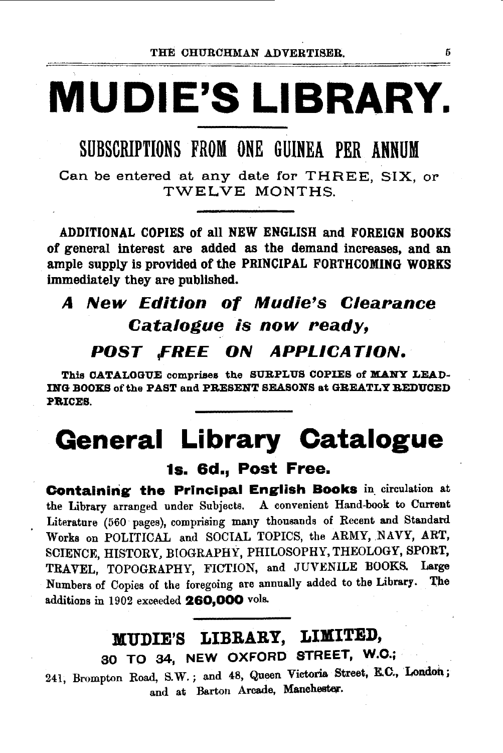# **MUDIE'S LIBRARY.**

SUBSCRIPTIONS FROM ONE GUINEA PER ANNUM

Can be entered at any date for THREE, SIX, or TWELVE MONTHS.

ADDITIONAL COPIES of all NEW ENGLISH and FOREIGN BOOKS of general interest are added as the demand increases, and an ample supply is provided of the PRINCIPAL FORTHCOMING WORKS immediately they are published.

# A New Edition of Mudie's Clearance Catalogue is now ready,

# *POST FREE. ON APPLICATION.*

This CATALOGUE comprises the SURPLUS COPIES of MANY LEAD-ING BOOKS of the PAST and PRESENT SEASONS at GREATLY REDUCED PBICES.

# **Qeneral Library Catalogue**

1s. 6d., Post Free.

Containing the Principal English Books in circulation at the Library arranged under Subjects. A convenient Hand-book to Cnrrent Literature (560 pages), comprising many thousands of Recent and Standard Works on POLITICAL and SOCIAL TOPICS, the ARMY, NAVY, ART, SCIENCE, HISTORY, BIOGRAPHY, PHILOSOPHY, THEOLOGY, SPORT, TRAVEL, TOPOGRAPHY, FICTION, and JUVENILE BOOKS. Large Numbers of Copies of the foregoing are annually added to the Library. The additions in 1902 exceeded 260,000 vols.

# MUDIE'S LIBRARY, LIMITED, SO TO 34, NEW OXFORD STREET, W.O.;

241, Brompton Road, S.W.; and 48, Queen Victoria Street, E.C., London; and at Barton Arcade, Manchester.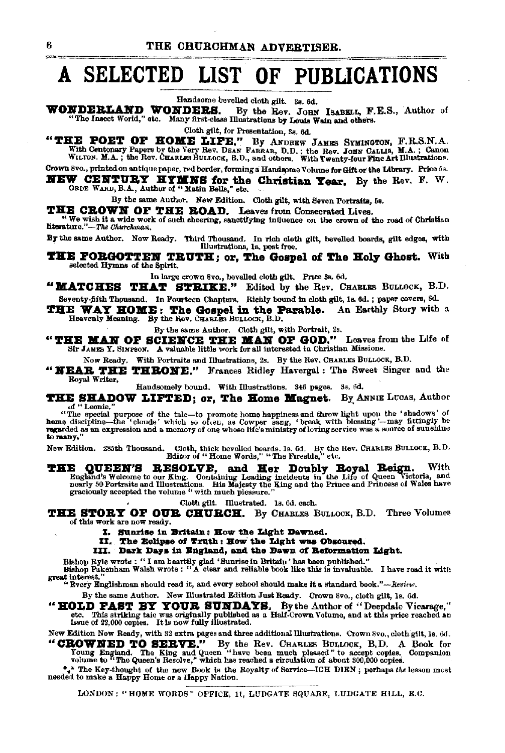#### A SELECTED LIST OF PUBLICATIONS

Handsome bevelled cloth gilt. 3s. 6d.

WONDERLAND WONDERS. By the Rev. JOHN ISABELL, F.E.S., Author of "The Insect World," etc. Many first-class Illustrations by Louis Wain and others.

Cloth gilt, for Presentation, 3s. 6d.

"THE POET OF HOME LIFE." By ANDREW JAMES SYMINGTON, F.R.S.N.A.<br>With Centenary Papers by the Very Rev. DEAN FARRAR, D.D.; the Rev. JOHN CALLIS, M.A.; Canon WILTON. M.A.; the Rev. CHARLES BULLOCK, B.D., and others. With Twen

Grown 8vo., printed on antique paper, red border, forming a Handsome Volume for Gift or the Library. Price 5s.

**NEW CENTURY HYMNS for the Christian Year.** By the Rev. F. W. ORDE WARD, B.A., Author of "Matin Bells," etc.

By the same Author. New Edition. Cloth gilt, with Seven Portraits, 5s.

THE CROWN OF THE BOAD. Leaves from Consecrated Lives.

"We wish it a wide work of such cheering, sanctifying influence on the crown of the road of Christian literature."-The Churchman.

By the same Author. Now Ready. Third Thousand. In rich cloth gilt, bevelled boards, gilt edges, with Illustrations, 1s, post free.

**THE FORGOTTEN TRUTH; or, The Gospel of The Holy Ghost.** With selected Hymns of the Spirit.

In large crown 8vo., bevelled cloth gilt. Price 8s. 6d.

"MATCHES THAT STRIKE." Edited by the Rev. CHARLES BULLOCK, B.D. Seventy-fifth Thousand. In Fourteen Chapters. Richly bound in cloth gilt, 1s, 6d.; paper covers, 8d.

THE WAY HOME: The Gospel in the Parable.<br>Heavenly Meaning. By the Rev. CHARLES BULLOCK, B.D. An Earthly Story with a

By the same Author. Cloth gilt, with Portrait, 2s.

"THE MAN OF SCIENCE THE MAN OF GOD." Leaves from the Life of Sir JAMES Y. SIMPSON. A valuable little work for all interested in Christian Missions.

Now Ready. With Portraits and Illustrations, 2s. By the Rev. CHARLES BULLOCK, B.D.

"NEAR THE THRONE." Frances Ridley Havergal: The Sweet Singer and the Royal Writer,

Handsomely bound. With Illustrations. 346 pages. 3s. 6d.

THE SHADOW LIFTED; or, The Home Magnet. By ANNIE LUCAS, Author of "Leonie."

or "Leonie."<br>"The special purpose of the tale-to promote home happiness and throw light upon the 'shadows' of<br>home discipline--the 'clouds' which so otten, as Cowper sang, 'break with blessing'--may fittingly be<br>regarded a to many.

New Edition. 285th Thousand. Cloth, thick bevelled boards. 1s. 6d. By the Rev. CHARLES BULLOCK, B.D.<br>Editor of "Home Words," "The Fireslde," etc.

THE QUEEN'S RESOLVE, and Her Doubly Royal Reign. With England's Welcome to our King. Containing Leading incidents in the Life of Queen Victoria, and nearly 50 Portraits and Illustrations. His Majesty the King and the Princ graciously accepted the volume " with much pleasure.

Cloth gilt. Illustrated. 1s. 6d. each.

THE STORY OF OUR CHURCH. By CHARLES BULLOCK, B.D. Three Volumes of this work are now ready.

- I. Sunrise in Britain: How the Light Dawned.
- II. The Eclipse of Truth: How the Light was Obscured.

III. Dark Days in England, and the Dawn of Reformation Light.

Bishop Ryle wrote : "I am heartily glad 'Sunrise in Britain' has been published."<br>Bishop Pakenham Walsh wrote : "A clear and reliable book like this is invaluable. I have read it with

great interest."<br>"Every Englishman should read it, and every school should make it a standard book."-Review.

By the same Author. New Illustrated Edition Just Ready. Crown 8vo., cloth gilt, 1s. 6d.

"HOLD FAST BY YOUR SUNDAYS. By the Author of "Deepdale Vicarage," etc. This striking tale was originally published as a Half-Crown Volume, and at this price reached an issue of 22,000 copies. It is now fully illustrated.

New Edition Now Ready, with 32 extra pages and three additional Illustrations. Crown Svo., cloth gilt, 1s. 6d. "CROWNED TO SERVE." By the Rev. CHARLES BULLOCK, B.D. A Book for Young England. The King and Queen "have been much pleased" to accept copies. Companion volume to "The Queen's Resolve," which has reached a circulation of ab

\* The Key-thought of the new Book is the Royalty of Service-ICH DIEN; perhaps the lesson most needed to make a Happy Home or a Happy Nation.

LONDON: "HOME WORDS" OFFICE, 11, LUDGATE SQUARE, LUDGATE HILL, E.C.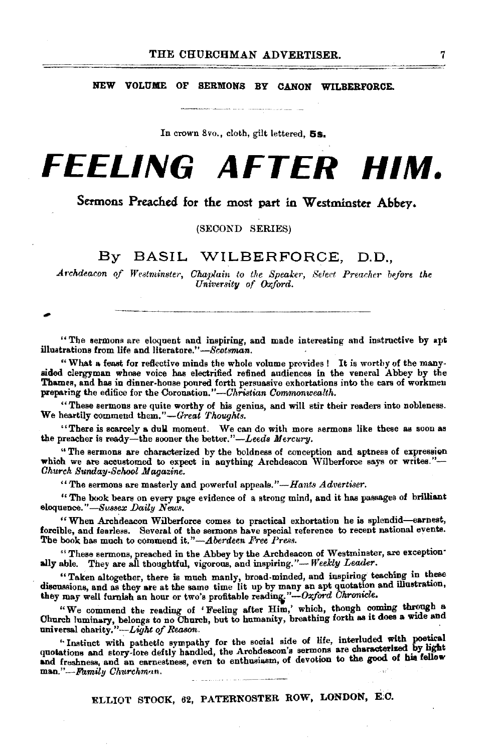NEW VOLUME OF SERMONS BY CANON WILBERFORCE.

In crown 8vo., cloth, gilt lettered,  $5s$ .

# **FEELING AFTER HIM.**

### Sermons Preached for the most part in Westminster Abbey.

(SECOND SERIES)

#### By BASIL WILBERFORCE, D.D.,

Archdeacon of Westminster, Chaplain to the Speaker, Select Preacher before the *University of Oxford.* 

"The sermons are eloquent and inspiring, and made interesting and instructive by apt illustrations from life and literature."-Scotsman.

"What a feast for reftective minds the whole volume provides ! It is worthy of the many· aided clergyman whose voice has electrified refined audiences in the veneral Abbey by the Thames, and has in dinner-house poured forth persuasive exhortations into the ears of workmen preparing the edifice for the Coronation."-Christian Commonwealth.

"These sermons are quite worthy of his genius, and will stir their readers into nobleness. We heartily commend *them."-Great 'l'houghts.* 

"There is scarcely a dull moment. We can do with more sermons like these as soon as the preacher is ready-the sooner the better."-Leeds Mercury.

" The sermons are characterized by the boldness of conception and aptness of expression which we are accustomed to expect in anything Archdeacon Wilberforce says or writes."-*Ohurch Sunday-School Magazine.* 

"The sermons are masterly and powerful appeals. *"-Hants Advertiser.* 

" The book bears on every page evidence of a strong mind, and it has passages of brilliant eloquence."-Sussex Daily News.

" When Archdeacon Wilberforce comes to practical exhortation he is splendid-earnest, forcible, and fearless. Several of the sermons have special reference to recent national events. The book has much to commend it."-Aberdeen Free Press.

"These sermons, preached in the Abbey by the Archdeacon of Westminster, are exception·

ally able. They are all thoughtful, vigorous, and inspiring."- *Weekly Leader.*  "Taken altogether, there is much manly, broad-minded, and inspiring teaching in these discussions, and as they are at the same time lit up by many an apt quotation and illustration, they may well furnish an hour or two's profitable reading."- $Oxford$  Chronicle.

"We commend the reading of 'Feeling after Him,' which, though coming through a Church luminary, belongs to no Church, but to humanity, breathing forth as it does a wide and universal charity."-Light of Reason.

"Instinct with pathetic sympathy for the social side of life, interluded with poetical quotations and story-lore deftly handled, the Archdeacon's sermons are characterized by light and freshness, and an earnestness, even to enthusiasm, of devotion to the good of his fellow man."-*Family Churchman.* 

ELLIOT STOCK, 62, PATERNOSTER ROW, LONDON, E:C.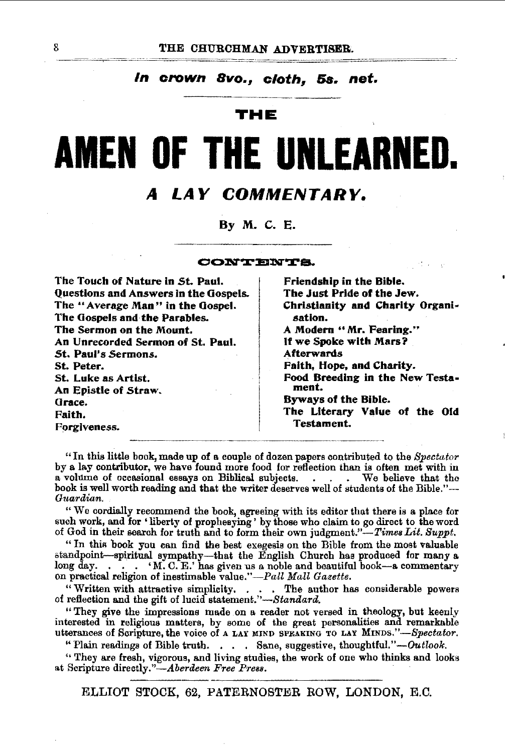### In crown 8vo., cloth, 5s. net.

#### THE

# **AMEN OF THE UNLEARNE**

#### LAY COMMENTARY. 4

By M. C. E.

CONTENTS.

| The Touch of Nature in St. Paul.      | Friendship in the Bible.                 |
|---------------------------------------|------------------------------------------|
| Questions and Answers in the Gospels. | The Just Pride of the Jew.               |
| The "Average Man" in the Gospel.      | Christianity and Charity Organi-         |
| The Gospels and the Parables.         | sation.                                  |
| The Sermon on the Mount.              | A Modern "Mr. Fearing."                  |
| An Unrecorded Sermon of St. Paul.     | If we Spoke with Mars?                   |
| St. Paul's Sermons.                   | <b>Afterwards</b>                        |
| St. Peter.                            | Faith, Hope, and Charity.                |
| St. Luke as Artist.                   | Food Breeding in the New Testa-<br>ment. |
| An Epistle of Straw.                  |                                          |
| Grace.                                | Byways of the Bible.                     |
| Faith.                                | The Literary Value of the Old            |
| Forgiveness.                          | Testament.                               |

"In this little book, made up of a couple of dozen papers contributed to the  $Spectator$ by a lay contributor, we have found more food for reflection than is often met with in a volume of occasional essays on Biblical subjects. We believe that the book is well worth reading and that the writer deserves well of students of the Bible."-Guardian.

"We cordially recommend the book, agreeing with its editor that there is a place for such work, and for 'liberty of prophesying' by those who claim to go direct to the word of God in their search for truth and to form their own judgment."-Times Lit. Suppt.

"In this book you can find the best exegesis on the Bible from the most valuable standpoint-spiritual sympathy-that the English Church has produced for many a long day.  $\ldots$  .  $\ldots$  .  $\ldots$  M. C. E.' has given us a noble and beautiful book-a commentary on practical religion of inestimable value."-Pall Mall Gazette.

"Written with attractive simplicity. . . . . The author has considerable powers of reflection and the gift of lucid statement."—Standard.

"They give the impressions made on a reader not versed in theology, but keenly interested in religious matters, by some of the great personalities and remarkable utterances of Scripture, the voice of a LAY MIND SPEAKING TO LAY MINDS."-Spectator.

" Plain readings of Bible truth. . . . Sane, suggestive, thoughtful."- $Outlook$ .

"They are fresh, vigorous, and living studies, the work of one who thinks and looks at Scripture directly."-Aberdeen Free Press.

ELLIOT STOCK, 62, PATERNOSTER ROW, LONDON, E.C.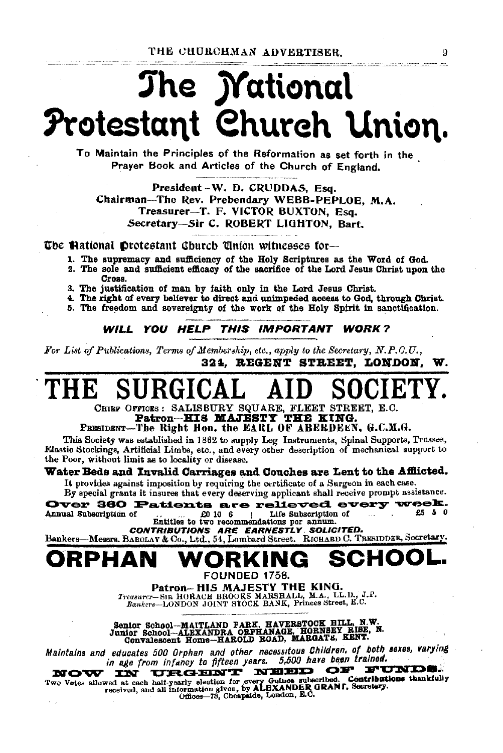# The *Mational* Protestant Church Union.

To Maintain the Principles of the Reformation as set forth in the Praver Book and Articles of the Church of England.

President-W. D. CRUDDAS. Esq. Chairman-The Rev. Prebendary WEBB-PEPLOE, M.A. Treasurer-T. F. VICTOR BUXTON, Esq. Secretary-Sir C. ROBERT LIGHTON, Bart.

The Hational Protestant Church Union witnesses for-

- 1. The supremacy and sufficiency of the Holy Scriptures as the Word of God.
- 2. The sole and sufficient efficacy of the sacrifice of the Lord Jesus Christ upon the Cross.
- 3. The justification of man by faith only in the Lord Jesus Christ.
- 4. The right of every believer to direct and unimpeded access to God, through Christ.
- 5. The freedom and sovereignty of the work of the Holy Spirit in sanctification.

WILL YOU HELP THIS IMPORTANT WORK?

For List of Publications, Terms of Membership, etc., apply to the Secretary, N.P.O.U., 324. REGENT STREET. LONDON. W.

# CHIEF OFFICES: SALISBURY SQUARE, FLEET STREET, E.C.

Patron-HIS MAJESTY THE KING.

PRESIDENT-The Right Hon, the EARL OF ABERDEEN, G.C.M.G.

This Society was established in 1862 to supply Leg Instruments, Spinal Supports, Trusses, Elastic Stockings, Artificial Limbs, etc., and every other description of mechanical support to the Poor, without limit as to locality or disease.

#### Water Beds and Invalid Carriages and Couches are Lent to the Afflicted.

It provides against imposition by requiring the certificate of a Surgeon in each case. By special grants it insures that every deserving applicant shall receive prompt assistance.

Over 360 Patients are relieved every week.  $E_0$  10 6 Life Subscription of Annual Subscription of £5 5 0

CONTRIBUTIONS ARE EARNESTLY SOLICITED.

Bankers-Mesars. BARCLAY & Co., Ltd., 54, Lombard Street. RICHARD C. TRESIDDER, Secretary.

#### SCH RPHAN

FOUNDED 1758.

Patron-HIS MAJESTY THE KING. Treasurer-SIR HORACE BROOKS MARSHALL, M.A., LL.D., J.P.<br>Bankers--LONDON JOINT STOCK BANK, Princes Street, E.C.

Senior School-MAITLAND PARK, HAVERSTOCK HILL, N.W.<br>Junior School-ALEXANDRA ORPHANAGE, HORNSEY RISE, N.<br>Convalescent Home-HAROLD ROAD, MARGATE, KENT.

Maintains and educates 500 Orphan and other necessitous Children, of both sexes, varying in age from infancy to fifteen years. 5,500 have been trained.

URGENT NEED OF FUNDS. NOW **TN** 

Two Votes allowed at each half-yearly election for overy Guinea subscribed. Contributions thankfully<br>received, and all information given by ALEXANDER GRANI, Secretary.<br>Offices-78, Cheapside, London, E.C.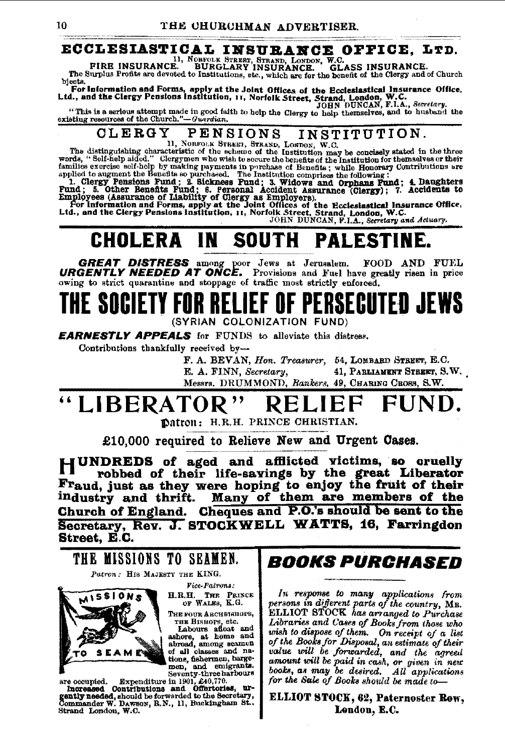## ECCLESIASTICAL INSURANCE OFFICE, LTD.

FIRE INSURANCE. BURGLARY INSURANCE. GL. GLASS INSURANCE. The Surplus Profits are devoted to Institutions, etc., which are for the benefit of the Clergy and of Church

bjects. For Information and Forms, apply at the Joint Offices of the Ecclesiastical Insurance Office,<br>Ltd., and the Clergy Pensions Institution, 11, Norfolk Street, Strand, London, W.C.<br>TOHN DUNCAN, F.I.A., Secretary,

"This is a serious attempt made in good faith to help the Clergy to help thermselves, and to husband the existing resources of the Church."-Guardian.

#### **CLERGY PENSIONS** INSTITUTION.

 $\blacksquare$   $\blacksquare$   $\blacksquare$   $\blacksquare$   $\blacksquare$   $\blacksquare$   $\blacksquare$   $\blacksquare$   $\blacksquare$   $\blacksquare$   $\blacksquare$   $\blacksquare$   $\blacksquare$   $\blacksquare$   $\blacksquare$   $\blacksquare$   $\blacksquare$   $\blacksquare$   $\blacksquare$   $\blacksquare$   $\blacksquare$   $\blacksquare$   $\blacksquare$   $\blacksquare$   $\blacksquare$   $\blacksquare$   $\blacksquare$   $\blacksquare$   $\blacksquare$   $\blacksquare$   $\blacksquare$   $\blacks$ 

words, "Self-help aided." Clergymen who wish to secure the benefits of the Institution for themsarves or ment<br>amilies exercise self-help by making payments in purchase of Benefits; while Homorary Contributions are<br>applied

#### **SOUTH** IN 1 CHOLERA **PALESTINE.**

GREAT DISTRESS among poor Jews at Jerusalem. FOOD AND FUEL **URGENTLY NEEDED AT ONCE.** Provisions and Fuel have greatly risen in price owing to strict quarantine and stoppage of traffic most strictly enforced.

# SOCIETY FOR RELIEF OF PERSECUTED JEWS (SYRIAN COLONIZATION FUND)

**EARNESTLY APPEALS** for FUNDS to alleviate this distress.

Contributions thankfully received by-

F. A. BEVAN, Hon. Treasurer, 54, LOMBARD STREET, E.C. E. A. FINN, Secretary, 41, PARLIAMENT STREET, S.W.

Messrs. DRUMMOND, Bankers, 49, CHARING CROSS, S.W.

### "LIBERATOR , 11

Datron: H.R.H. PRINCE CHRISTIAN.

£10,000 required to Relieve New and Urgent Cases.

IUNDREDS of aged and afflicted victims, so cruelly robbed of their life-savings by the great Liberator Fraud, just as they were hoping to enjoy the fruit of their<br>industry and thrift. Many of them are members of the Church of England. Cheques and P.O.'s should be sent to the Secretary, Rev. J. STOCKWELL WATTS, 16, Farringdon Street, E.C.

THE MISSIONS TO SEAMEN. Patron: HIS MAJESTY THE KING. Vice-Patrons: H.R.H. THE PRINCE OF WALES, K.G. AISSIONS THE FOUR ARCHBISHOPS, THE BRSOFS, etc.<br>
Labours afloat and<br>
ashore, at heme and<br>
abroad, among seamen<br>
of all classes and na-

tions, fishermen, barge-

are occupied. Expenditure in 1901, 240,770.<br>Increased Contributions and Offertories, urended, should be forwarded to the Secretary,<br>Commander W. Dawson, R.N., 11, Buckingham St., Strand London, W.C.

# *BOOKS PURCHASED*

In response to many applications from persons in different parts of the country, MR.<br>ELLIOT STOCK has arranged to Purchase Libraries and Cases of Books from those who wish to dispose of them. On receipt of a list<br>of the Books for Disposal, an estimate of their value will be forwarded, and the agreed amount will be paid in cash, or given in new for the Sale of Books should be made to-

**ELLIOT STOCK, 62, Paternoster Row,** London, E.C.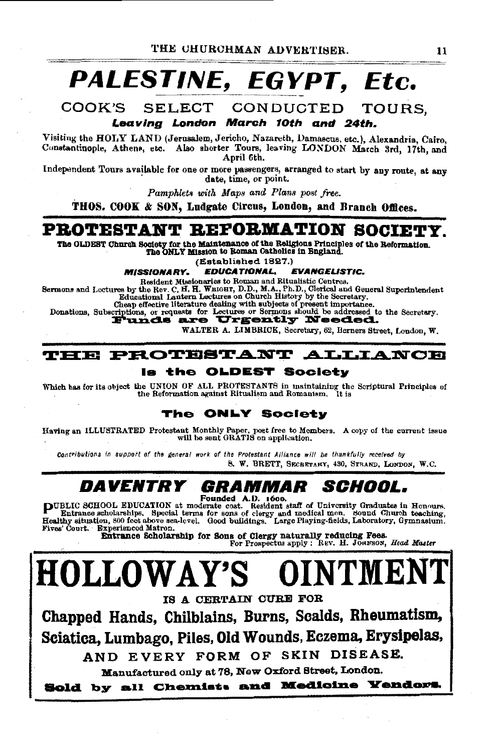# PALESTINE, EGYPT, Etc.

COOK'S SELECT CONDUCTED TOURS.

Leaving London March 10th and 24th.

Visiting the HOLY LAND (Jerusalem, Jericho, Nazareth, Damascus, etc.), Alexandria, Cairo. Constantinople, Athens, etc. Also shorter Tours, leaving LONDON March 3rd. 17th. and April 6th.

Independent Tours available for one or more passengers, arranged to start by any route, at any date, time, or point.

Pamphlets with Maps and Plans post free.

THOS. COOK & SON, Ludgate Circus, London, and Branch Offices.

## PROTESTANT REFORMATION SOCIETY.

The OLDEST Church Society for the Maintenance of the Religious Principles of the Reformation. The ONLY Mission to Roman Catholics in England.

(Established 1827.)

**MISSIONARY. EDUCATIONAL, EVANGELISTIC.** 

Resident Missionaries to Roman and Ritualistic Centres.

Sermons and Lectures by the Rev. C. H. H. WEIGHT, D.D., M.A., Ph.D., Clerical and General Superintendent Educational Lantern Lectures on Church History by the Secretary.

Equations, Subscriptions, or requests for Lectures or Sermons should be addressed to the Secretary.<br>Donations, Subscriptions, or requests for Lectures or Sermons should be addressed to the Secretary.<br>
Funds are Urgently Ne

WALTER A. LIMBRICK, Secretary, 62, Berners Street, London, W.

#### PROTESTANT ALLIANCE TELE

#### ls the OLDEST Society

Which has for its object the UNION OF ALL PROTESTANTS in maintaining the Scriptural Principles of the Reformation against Ritualism and Romanism. Ĭt is

#### The ONLY Society

Having an ILLUSTRATED Protestant Monthly Paper, poet free to Members. A copy of the current issue will be sent GRATIS on application.

Contributions in aupport of the general work of the Protestant Alliance will be thankfully received by 8. W. BRETT, SECRETARY, 430, STRAND, LONDON, W.C.

#### *DAVENTRY SCHOOL.* GRAMMAR

COMPUTE CHARGE TO A COMPART ON A CONSUMER THE SERVER OF THE SCHOOL SERVER CHARGE THE SCHOOL SERVER CONSUMERS THE SERVER OF THE SERVER CHARGE THE SERVER OF THE SERVER SERVER SERVER THE SERVER OF THE SERVER SERVER SERVER THE Fives' Court. Experienced Matron.

Entrance Scholarship for Sons of Clergy naturally reducing Fees.<br>For Prospectus apply : REV. H. JORNSON, Head Master